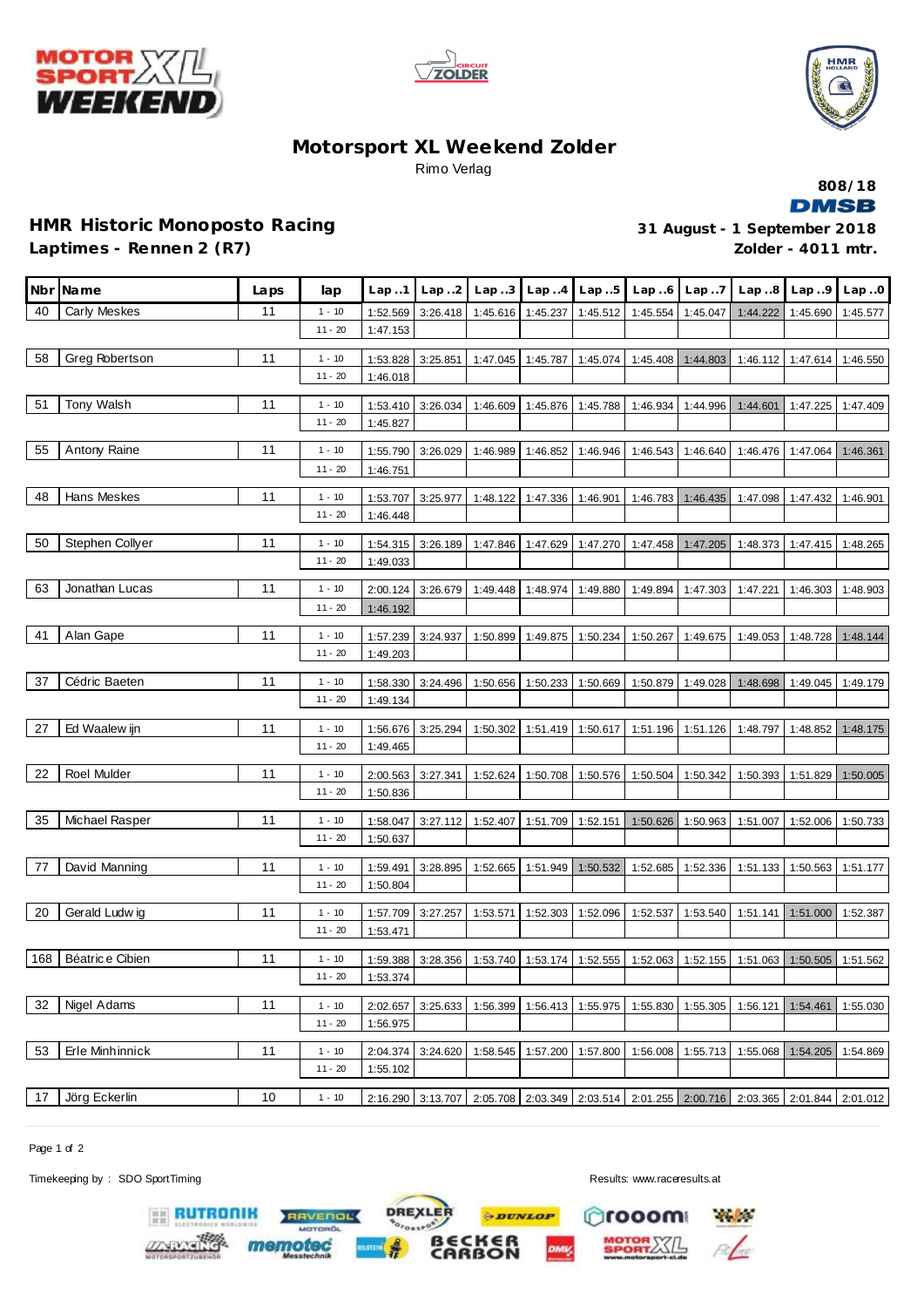





## **Motorsport XL Weekend Zolder** Rimo Verlag



## **HMR Historic Monoposto Racing 31 August - 1 September 2018 Laptimes - Rennen 2 (R7)**

**Zolder - 4011 mtr.**

|     | Nbr Name        | Laps | lap                   | Lap.1                | Lap. .2           |          |          | $Lap3$ $Lap4$ $Lap5$ | Lap.6    | Lap.7             | Lap.8                                                          | Lap.9    | Lap.0    |
|-----|-----------------|------|-----------------------|----------------------|-------------------|----------|----------|----------------------|----------|-------------------|----------------------------------------------------------------|----------|----------|
| 40  | Carly Meskes    | 11   | $1 - 10$              | 1:52.569             | 3:26.418          | 1:45.616 | 1:45.237 | 1:45.512             | 1:45.554 | 1:45.047          | 1:44.222                                                       | 1:45.690 | 1:45.577 |
|     |                 |      | $11 - 20$             | 1:47.153             |                   |          |          |                      |          |                   |                                                                |          |          |
| 58  | Greg Robertson  | 11   | $1 - 10$              | 1:53.828             | 3:25.851          | 1:47.045 | 1:45.787 | 1:45.074             |          | 1:45.408 1:44.803 | 1:46.112                                                       | 1:47.614 | 1:46.550 |
|     |                 |      | $11 - 20$             | 1:46.018             |                   |          |          |                      |          |                   |                                                                |          |          |
|     | Tony Walsh      |      |                       |                      |                   |          |          |                      |          |                   |                                                                |          |          |
| 51  |                 | 11   | $1 - 10$<br>$11 - 20$ | 1:53.410             | 3:26.034          | 1:46.609 | 1:45.876 | 1:45.788             | 1:46.934 | 1:44.996          | 1:44.601                                                       | 1:47.225 | 1:47.409 |
|     |                 |      |                       | 1:45.827             |                   |          |          |                      |          |                   |                                                                |          |          |
| 55  | Antony Raine    | 11   | $1 - 10$              | 1:55.790             | 3:26.029          | 1:46.989 | 1:46.852 | 1:46.946             | 1:46.543 | 1:46.640          | 1:46.476                                                       | 1:47.064 | 1:46.361 |
|     |                 |      | $11 - 20$             | 1:46.751             |                   |          |          |                      |          |                   |                                                                |          |          |
| 48  | Hans Meskes     | 11   | $1 - 10$              | 1:53.707             | 3:25.977          | 1:48.122 | 1:47.336 | 1:46.901             | 1:46.783 | 1:46.435          | 1:47.098                                                       | 1:47.432 | 1:46.901 |
|     |                 |      | $11 - 20$             | 1:46.448             |                   |          |          |                      |          |                   |                                                                |          |          |
| 50  | Stephen Collyer | 11   | $1 - 10$              |                      |                   |          |          |                      |          |                   |                                                                |          |          |
|     |                 |      | $11 - 20$             | 1:54.315<br>1:49.033 | 3:26.189          | 1:47.846 | 1:47.629 | 1:47.270             | 1:47.458 | 1:47.205          | 1:48.373                                                       | 1:47.415 | 1:48.265 |
|     |                 |      |                       |                      |                   |          |          |                      |          |                   |                                                                |          |          |
| 63  | Jonathan Lucas  | 11   | $1 - 10$              | 2:00.124             | 3:26.679          | 1:49.448 | 1:48.974 | 1:49.880             | 1:49.894 | 1:47.303          | 1:47.221                                                       | 1:46.303 | 1:48.903 |
|     |                 |      | $11 - 20$             | 1:46.192             |                   |          |          |                      |          |                   |                                                                |          |          |
| 41  | Alan Gape       | 11   | $1 - 10$              | 1:57.239             | 3:24.937          | 1:50.899 | 1:49.875 | 1:50.234             | 1:50.267 | 1:49.675          | 1:49.053                                                       | 1:48.728 | 1:48.144 |
|     |                 |      | $11 - 20$             | 1:49.203             |                   |          |          |                      |          |                   |                                                                |          |          |
|     |                 |      |                       |                      |                   |          |          |                      |          |                   |                                                                |          |          |
| 37  | Cédric Baeten   | 11   | $1 - 10$              | 1:58.330             | 3:24.496          | 1:50.656 | 1:50.233 | 1:50.669             | 1:50.879 | 1:49.028          | 1:48.698                                                       | 1:49.045 | 1:49.179 |
|     |                 |      | $11 - 20$             | 1:49.134             |                   |          |          |                      |          |                   |                                                                |          |          |
| 27  | Ed Waalew ijn   | 11   | $1 - 10$              |                      |                   |          |          |                      |          |                   |                                                                |          |          |
|     |                 |      | $11 - 20$             | 1:56.676<br>1:49.465 | 3:25.294          | 1:50.302 | 1:51.419 | 1:50.617             | 1:51.196 | 1:51.126          | 1:48.797                                                       | 1:48.852 | 1:48.175 |
|     |                 |      |                       |                      |                   |          |          |                      |          |                   |                                                                |          |          |
| 22  | Roel Mulder     | 11   | $1 - 10$              | 2:00.563             | 3:27.341          | 1:52.624 | 1:50.708 | 1:50.576             | 1:50.504 | 1:50.342          | 1:50.393                                                       | 1:51.829 | 1:50.005 |
|     |                 |      | $11 - 20$             | 1:50.836             |                   |          |          |                      |          |                   |                                                                |          |          |
| 35  | Michael Rasper  | 11   | $1 - 10$              | 1:58.047             | 3:27.112          | 1:52.407 | 1:51.709 | 1:52.151             | 1:50.626 | 1:50.963          | 1:51.007                                                       | 1:52.006 | 1:50.733 |
|     |                 |      | $11 - 20$             | 1:50.637             |                   |          |          |                      |          |                   |                                                                |          |          |
|     |                 |      |                       |                      |                   |          |          |                      |          |                   |                                                                |          |          |
| 77  | David Manning   | 11   | $1 - 10$              | 1:59.491             | 3:28.895          | 1:52.665 | 1:51.949 | 1:50.532             | 1:52.685 | 1:52.336          | 1:51.133                                                       | 1:50.563 | 1:51.177 |
|     |                 |      | $11 - 20$             | 1:50.804             |                   |          |          |                      |          |                   |                                                                |          |          |
| 20  | Gerald Ludwig   | 11   | $1 - 10$              | 1:57.709             | 3:27.257          | 1:53.571 | 1:52.303 | 1:52.096             | 1:52.537 | 1:53.540          | 1:51.141                                                       | 1:51.000 | 1:52.387 |
|     |                 |      | $11 - 20$             | 1:53.471             |                   |          |          |                      |          |                   |                                                                |          |          |
|     |                 |      |                       |                      |                   |          |          |                      |          |                   |                                                                |          |          |
| 168 | Béatrice Cibien | 11   | $1 - 10$              | 1:59.388             | 3:28.356          | 1:53.740 | 1:53.174 | 1:52.555             | 1:52.063 | 1:52.155          | 1:51.063                                                       | 1:50.505 | 1:51.562 |
|     |                 |      | $11 - 20$             | 1:53.374             |                   |          |          |                      |          |                   |                                                                |          |          |
| 32  | Nigel Adams     | 11   | $1 - 10$              | 2:02.657             | 3:25.633          | 1:56.399 | 1:56.413 | 1:55.975             | 1:55.830 | 1:55.305          | 1:56.121                                                       | 1:54.461 | 1:55.030 |
|     |                 |      | $11 - 20$             | 1:56.975             |                   |          |          |                      |          |                   |                                                                |          |          |
|     |                 |      |                       |                      |                   |          |          |                      |          |                   |                                                                |          |          |
| 53  | Erle Minhinnick | 11   | $1 - 10$              | 2:04.374             | 3:24.620          | 1:58.545 | 1:57.200 | 1:57.800             | 1:56.008 | 1:55.713          | 1:55.068                                                       | 1:54.205 | 1:54.869 |
|     |                 |      | $11 - 20$             | 1:55.102             |                   |          |          |                      |          |                   |                                                                |          |          |
| 17  | Jörg Eckerlin   | 10   | $1 - 10$              |                      | 2:16.290 3:13.707 |          |          |                      |          |                   | 2:05.708 2:03.349 2:03.514 2:01.255 2:00.716 2:03.365 2:01.844 |          | 2:01.012 |
|     |                 |      |                       |                      |                   |          |          |                      |          |                   |                                                                |          |          |

**DREXLER** 

OFORSPORT

RAVENOL

memotec

**PDUNLOP** 

BECKER

Page 1 of 2

Timekeeping by : SDO SportTiming **Results:**<www.raceresults.at>

**EE RUTRONIK**